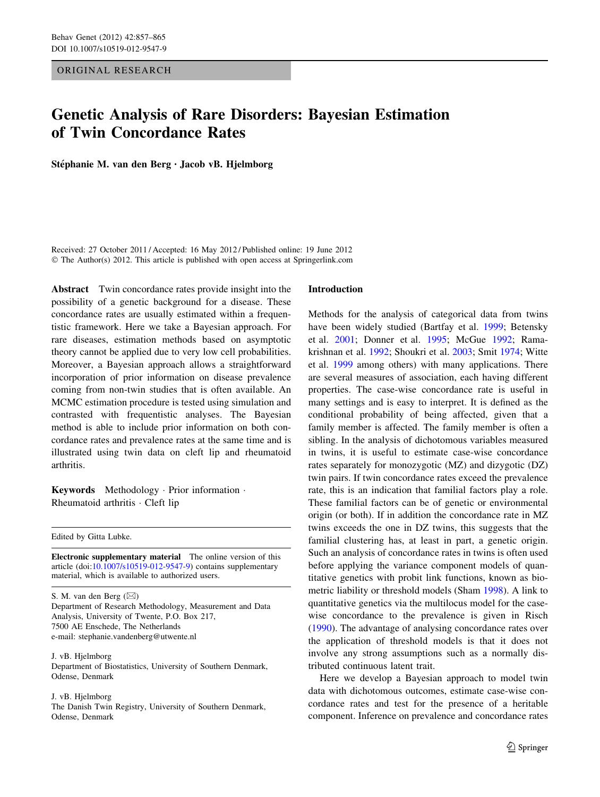ORIGINAL RESEARCH

# Genetic Analysis of Rare Disorders: Bayesian Estimation of Twin Concordance Rates

Stéphanie M. van den Berg · Jacob vB. Hjelmborg

Received: 27 October 2011 / Accepted: 16 May 2012 / Published online: 19 June 2012 © The Author(s) 2012. This article is published with open access at Springerlink.com

Abstract Twin concordance rates provide insight into the possibility of a genetic background for a disease. These concordance rates are usually estimated within a frequentistic framework. Here we take a Bayesian approach. For rare diseases, estimation methods based on asymptotic theory cannot be applied due to very low cell probabilities. Moreover, a Bayesian approach allows a straightforward incorporation of prior information on disease prevalence coming from non-twin studies that is often available. An MCMC estimation procedure is tested using simulation and contrasted with frequentistic analyses. The Bayesian method is able to include prior information on both concordance rates and prevalence rates at the same time and is illustrated using twin data on cleft lip and rheumatoid arthritis.

Keywords Methodology - Prior information - Rheumatoid arthritis · Cleft lip

Edited by Gitta Lubke.

Electronic supplementary material The online version of this article (doi:[10.1007/s10519-012-9547-9\)](http://dx.doi.org/10.1007/s10519-012-9547-9) contains supplementary material, which is available to authorized users.

S. M. van den Berg  $(\boxtimes)$ Department of Research Methodology, Measurement and Data Analysis, University of Twente, P.O. Box 217, 7500 AE Enschede, The Netherlands e-mail: stephanie.vandenberg@utwente.nl

J. vB. Hjelmborg Department of Biostatistics, University of Southern Denmark, Odense, Denmark

J. vB. Hjelmborg The Danish Twin Registry, University of Southern Denmark, Odense, Denmark

#### Introduction

Methods for the analysis of categorical data from twins have been widely studied (Bartfay et al. [1999;](#page-7-0) Betensky et al. [2001;](#page-8-0) Donner et al. [1995;](#page-8-0) McGue [1992;](#page-8-0) Ramakrishnan et al. [1992](#page-8-0); Shoukri et al. [2003](#page-8-0); Smit [1974](#page-8-0); Witte et al. [1999](#page-8-0) among others) with many applications. There are several measures of association, each having different properties. The case-wise concordance rate is useful in many settings and is easy to interpret. It is defined as the conditional probability of being affected, given that a family member is affected. The family member is often a sibling. In the analysis of dichotomous variables measured in twins, it is useful to estimate case-wise concordance rates separately for monozygotic (MZ) and dizygotic (DZ) twin pairs. If twin concordance rates exceed the prevalence rate, this is an indication that familial factors play a role. These familial factors can be of genetic or environmental origin (or both). If in addition the concordance rate in MZ twins exceeds the one in DZ twins, this suggests that the familial clustering has, at least in part, a genetic origin. Such an analysis of concordance rates in twins is often used before applying the variance component models of quantitative genetics with probit link functions, known as biometric liability or threshold models (Sham [1998\)](#page-8-0). A link to quantitative genetics via the multilocus model for the casewise concordance to the prevalence is given in Risch [\(1990](#page-8-0)). The advantage of analysing concordance rates over the application of threshold models is that it does not involve any strong assumptions such as a normally distributed continuous latent trait.

Here we develop a Bayesian approach to model twin data with dichotomous outcomes, estimate case-wise concordance rates and test for the presence of a heritable component. Inference on prevalence and concordance rates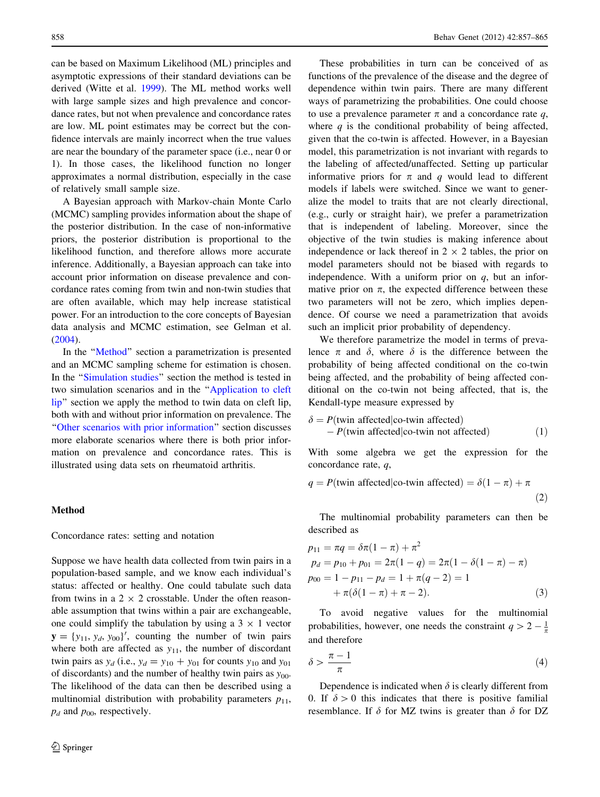<span id="page-1-0"></span>can be based on Maximum Likelihood (ML) principles and asymptotic expressions of their standard deviations can be derived (Witte et al. [1999\)](#page-8-0). The ML method works well with large sample sizes and high prevalence and concordance rates, but not when prevalence and concordance rates are low. ML point estimates may be correct but the confidence intervals are mainly incorrect when the true values are near the boundary of the parameter space (i.e., near 0 or 1). In those cases, the likelihood function no longer approximates a normal distribution, especially in the case of relatively small sample size.

A Bayesian approach with Markov-chain Monte Carlo (MCMC) sampling provides information about the shape of the posterior distribution. In the case of non-informative priors, the posterior distribution is proportional to the likelihood function, and therefore allows more accurate inference. Additionally, a Bayesian approach can take into account prior information on disease prevalence and concordance rates coming from twin and non-twin studies that are often available, which may help increase statistical power. For an introduction to the core concepts of Bayesian data analysis and MCMC estimation, see Gelman et al. [\(2004](#page-8-0)).

In the ''Method'' section a parametrization is presented and an MCMC sampling scheme for estimation is chosen. In the ''[Simulation studies'](#page-3-0)' section the method is tested in two simulation scenarios and in the ''[Application to cleft](#page-4-0) [lip'](#page-4-0)' section we apply the method to twin data on cleft lip, both with and without prior information on prevalence. The ''[Other scenarios with prior information](#page-5-0)'' section discusses more elaborate scenarios where there is both prior information on prevalence and concordance rates. This is illustrated using data sets on rheumatoid arthritis.

## Method

Concordance rates: setting and notation

Suppose we have health data collected from twin pairs in a population-based sample, and we know each individual's status: affected or healthy. One could tabulate such data from twins in a  $2 \times 2$  crosstable. Under the often reasonable assumption that twins within a pair are exchangeable, one could simplify the tabulation by using a  $3 \times 1$  vector  $y = \{y_{11}, y_d, y_{00}\}'$ , counting the number of twin pairs where both are affected as  $y_{11}$ , the number of discordant twin pairs as  $y_d$  (i.e.,  $y_d = y_{10} + y_{01}$  for counts  $y_{10}$  and  $y_{01}$ of discordants) and the number of healthy twin pairs as  $y_{00}$ . The likelihood of the data can then be described using a multinomial distribution with probability parameters  $p_{11}$ ,  $p_d$  and  $p_{00}$ , respectively.

These probabilities in turn can be conceived of as functions of the prevalence of the disease and the degree of dependence within twin pairs. There are many different ways of parametrizing the probabilities. One could choose to use a prevalence parameter  $\pi$  and a concordance rate q, where  $q$  is the conditional probability of being affected, given that the co-twin is affected. However, in a Bayesian model, this parametrization is not invariant with regards to the labeling of affected/unaffected. Setting up particular informative priors for  $\pi$  and q would lead to different models if labels were switched. Since we want to generalize the model to traits that are not clearly directional, (e.g., curly or straight hair), we prefer a parametrization that is independent of labeling. Moreover, since the objective of the twin studies is making inference about independence or lack thereof in  $2 \times 2$  tables, the prior on model parameters should not be biased with regards to independence. With a uniform prior on  $q$ , but an informative prior on  $\pi$ , the expected difference between these two parameters will not be zero, which implies dependence. Of course we need a parametrization that avoids such an implicit prior probability of dependency.

We therefore parametrize the model in terms of prevalence  $\pi$  and  $\delta$ , where  $\delta$  is the difference between the probability of being affected conditional on the co-twin being affected, and the probability of being affected conditional on the co-twin not being affected, that is, the Kendall-type measure expressed by

$$
\delta = P(\text{twin affected}|\text{co-twin affected})
$$
  
- P(\text{twin affected}|\text{co-twin not affected}) \t(1)

With some algebra we get the expression for the concordance rate, q,

$$
q = P(\text{twin affected}|\text{co-twin affected}) = \delta(1 - \pi) + \pi
$$
\n(2)

The multinomial probability parameters can then be described as

$$
p_{11} = \pi q = \delta \pi (1 - \pi) + \pi^2
$$
  
\n
$$
p_d = p_{10} + p_{01} = 2\pi (1 - q) = 2\pi (1 - \delta (1 - \pi) - \pi)
$$
  
\n
$$
p_{00} = 1 - p_{11} - p_d = 1 + \pi (q - 2) = 1
$$
  
\n
$$
+ \pi (\delta (1 - \pi) + \pi - 2).
$$
\n(3)

To avoid negative values for the multinomial probabilities, however, one needs the constraint  $q > 2 - \frac{1}{\pi}$ and therefore

$$
\delta > \frac{\pi - 1}{\pi} \tag{4}
$$

Dependence is indicated when  $\delta$  is clearly different from 0. If  $\delta > 0$  this indicates that there is positive familial resemblance. If  $\delta$  for MZ twins is greater than  $\delta$  for DZ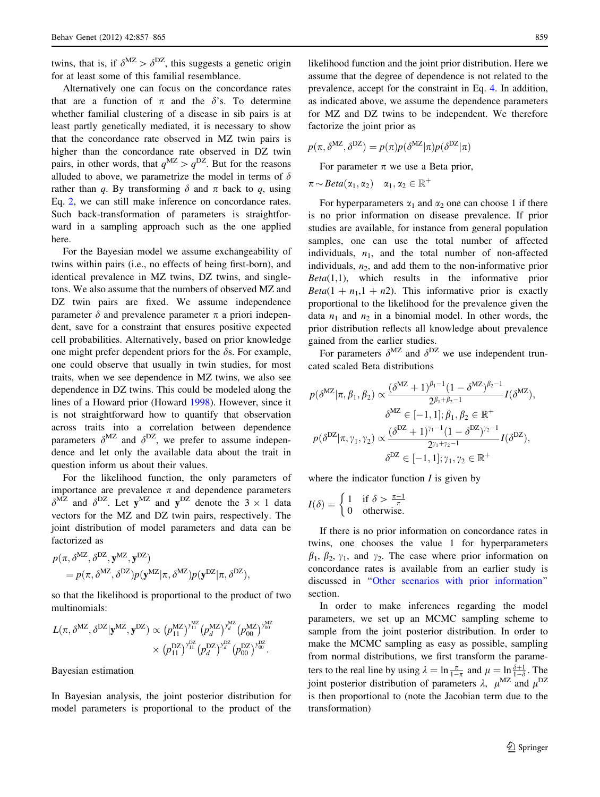twins, that is, if  $\delta^{MZ} > \delta^{DZ}$ , this suggests a genetic origin for at least some of this familial resemblance.

Alternatively one can focus on the concordance rates that are a function of  $\pi$  and the  $\delta$ 's. To determine whether familial clustering of a disease in sib pairs is at least partly genetically mediated, it is necessary to show that the concordance rate observed in MZ twin pairs is higher than the concordance rate observed in DZ twin pairs, in other words, that  $q^{MZ} > q^{DZ}$ . But for the reasons alluded to above, we parametrize the model in terms of  $\delta$ rather than q. By transforming  $\delta$  and  $\pi$  back to q, using Eq. [2,](#page-1-0) we can still make inference on concordance rates. Such back-transformation of parameters is straightforward in a sampling approach such as the one applied here.

For the Bayesian model we assume exchangeability of twins within pairs (i.e., no effects of being first-born), and identical prevalence in MZ twins, DZ twins, and singletons. We also assume that the numbers of observed MZ and DZ twin pairs are fixed. We assume independence parameter  $\delta$  and prevalence parameter  $\pi$  a priori independent, save for a constraint that ensures positive expected cell probabilities. Alternatively, based on prior knowledge one might prefer dependent priors for the  $\delta$ s. For example, one could observe that usually in twin studies, for most traits, when we see dependence in MZ twins, we also see dependence in DZ twins. This could be modeled along the lines of a Howard prior (Howard [1998\)](#page-8-0). However, since it is not straightforward how to quantify that observation across traits into a correlation between dependence parameters  $\delta^{MZ}$  and  $\delta^{DZ}$ , we prefer to assume independence and let only the available data about the trait in question inform us about their values.

For the likelihood function, the only parameters of importance are prevalence  $\pi$  and dependence parameters  $\delta^{\overline{MZ}}$  and  $\delta^{\overline{DZ}}$ . Let  $y^{\overline{MZ}}$  and  $y^{\overline{DZ}}$  denote the  $3 \times 1$  data vectors for the MZ and DZ twin pairs, respectively. The joint distribution of model parameters and data can be factorized as

$$
p(\pi, \delta^{MZ}, \delta^{DZ}, \mathbf{y}^{MZ}, \mathbf{y}^{DZ})
$$
  
=  $p(\pi, \delta^{MZ}, \delta^{DZ})p(\mathbf{y}^{MZ}|\pi, \delta^{MZ})p(\mathbf{y}^{DZ}|\pi, \delta^{DZ}),$ 

so that the likelihood is proportional to the product of two multinomials:

$$
\begin{aligned} L(\pi,\delta^{\rm MZ},\delta^{\rm DZ}|\textbf{y}^{\rm MZ},\textbf{y}^{\rm DZ}) & \propto \big(p_{11}^{\rm MZ}\big)^{\gamma_{11}^{\rm MZ}}\big(p_{d}^{\rm MZ}\big)^{\gamma_{d}^{\rm MZ}}\big(p_{00}^{\rm MZ}\big)^{\gamma_{00}^{\rm MZ}} \\ & \times \big(p_{11}^{\rm DZ}\big)^{\gamma_{11}^{\rm DZ}}\big(p_{d}^{\rm DZ}\big)^{\gamma_{d}^{\rm DZ}}\big(p_{00}^{\rm DZ}\big)^{\gamma_{00}^{\rm DZ}}. \end{aligned}
$$

Bayesian estimation

In Bayesian analysis, the joint posterior distribution for model parameters is proportional to the product of the likelihood function and the joint prior distribution. Here we assume that the degree of dependence is not related to the prevalence, accept for the constraint in Eq. [4](#page-1-0). In addition, as indicated above, we assume the dependence parameters for MZ and DZ twins to be independent. We therefore factorize the joint prior as

$$
p(\pi, \delta^{\text{MZ}}, \delta^{\text{DZ}}) = p(\pi) p(\delta^{\text{MZ}} | \pi) p(\delta^{\text{DZ}} | \pi)
$$

For parameter  $\pi$  we use a Beta prior,

$$
\pi \sim Beta(\alpha_1, \alpha_2) \quad \alpha_1, \alpha_2 \in \mathbb{R}^+
$$

For hyperparameters  $\alpha_1$  and  $\alpha_2$  one can choose 1 if there is no prior information on disease prevalence. If prior studies are available, for instance from general population samples, one can use the total number of affected individuals,  $n_1$ , and the total number of non-affected individuals,  $n_2$ , and add them to the non-informative prior  $Beta(1,1)$ , which results in the informative prior  $Beta(1 + n<sub>1</sub>, 1 + n<sub>2</sub>)$ . This informative prior is exactly proportional to the likelihood for the prevalence given the data  $n_1$  and  $n_2$  in a binomial model. In other words, the prior distribution reflects all knowledge about prevalence gained from the earlier studies.

For parameters  $\delta^{MZ}$  and  $\delta^{DZ}$  we use independent truncated scaled Beta distributions

$$
p(\delta^{MZ}|\pi, \beta_1, \beta_2) \propto \frac{(\delta^{MZ} + 1)^{\beta_1 - 1} (1 - \delta^{MZ})^{\beta_2 - 1}}{2^{\beta_1 + \beta_2 - 1}} I(\delta^{MZ}),
$$
  

$$
\delta^{MZ} \in [-1, 1]; \beta_1, \beta_2 \in \mathbb{R}^+
$$
  

$$
p(\delta^{DZ}|\pi, \gamma_1, \gamma_2) \propto \frac{(\delta^{DZ} + 1)^{\gamma_1 - 1} (1 - \delta^{DZ})^{\gamma_2 - 1}}{2^{\gamma_1 + \gamma_2 - 1}} I(\delta^{DZ}),
$$
  

$$
\delta^{DZ} \in [-1, 1]; \gamma_1, \gamma_2 \in \mathbb{R}^+
$$

where the indicator function  $I$  is given by

$$
I(\delta) = \begin{cases} 1 & \text{if } \delta > \frac{\pi - 1}{\pi} \\ 0 & \text{otherwise.} \end{cases}
$$

If there is no prior information on concordance rates in twins, one chooses the value 1 for hyperparameters  $\beta_1$ ,  $\beta_2$ ,  $\gamma_1$ , and  $\gamma_2$ . The case where prior information on concordance rates is available from an earlier study is discussed in ''[Other scenarios with prior information'](#page-5-0)' section.

In order to make inferences regarding the model parameters, we set up an MCMC sampling scheme to sample from the joint posterior distribution. In order to make the MCMC sampling as easy as possible, sampling from normal distributions, we first transform the parameters to the real line by using  $\lambda = \ln \frac{\pi}{1-\pi}$  and  $\mu = \ln \frac{\delta+1}{1-\delta}$ . The joint posterior distribution of parameters  $\lambda$ ,  $\mu^{MZ}$  and  $\mu^{DZ}$ is then proportional to (note the Jacobian term due to the transformation)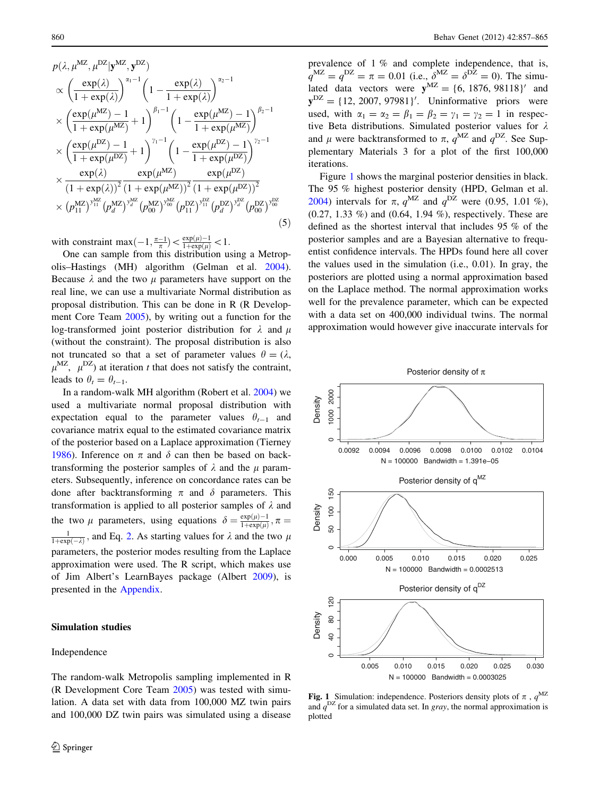<span id="page-3-0"></span>
$$
p(\lambda, \mu^{MZ}, \mu^{DZ} | \mathbf{y}^{MZ}, \mathbf{y}^{DZ})
$$
\n
$$
\propto \left(\frac{\exp(\lambda)}{1 + \exp(\lambda)}\right)^{\alpha_1 - 1} \left(1 - \frac{\exp(\lambda)}{1 + \exp(\lambda)}\right)^{\alpha_2 - 1}
$$
\n
$$
\times \left(\frac{\exp(\mu^{MZ}) - 1}{1 + \exp(\mu^{MZ})} + 1\right)^{\beta_1 - 1} \left(1 - \frac{\exp(\mu^{MZ}) - 1}{1 + \exp(\mu^{MZ})}\right)^{\beta_2 - 1}
$$
\n
$$
\times \left(\frac{\exp(\mu^{DZ}) - 1}{1 + \exp(\mu^{DZ})} + 1\right)^{\gamma_1 - 1} \left(1 - \frac{\exp(\mu^{DZ}) - 1}{1 + \exp(\mu^{DZ})}\right)^{\gamma_2 - 1}
$$
\n
$$
\times \frac{\exp(\lambda)}{(1 + \exp(\lambda))^2} \frac{\exp(\mu^{MZ})}{(1 + \exp(\mu^{MZ}))^2} \frac{\exp(\mu^{DZ})}{(1 + \exp(\mu^{DZ}))^2}
$$
\n
$$
\times (\rho_{11}^{MZ})^{\frac{MZ}{1}} (\rho_{d}^{MZ})^{\frac{WZ}{2}} (\rho_{00}^{MZ})^{\frac{WZ}{2}} (\rho_{11}^{DZ})^{\frac{VZ}{2}} (\rho_{00}^{DZ})^{\frac{DZ}{2}} (\rho_{00}^{DZ})^{\frac{DZ}{2}} (\rho_{00}^{DZ})^{\frac{DZ}{2}}
$$
\n(5)

with constraint max $(-1, \frac{\pi - 1}{\pi}) < \frac{\exp(\mu) - 1}{1 + \exp(\mu)} < 1$ .

One can sample from this distribution using a Metropolis–Hastings (MH) algorithm (Gelman et al. [2004](#page-8-0)). Because  $\lambda$  and the two  $\mu$  parameters have support on the real line, we can use a multivariate Normal distribution as proposal distribution. This can be done in R (R Development Core Team [2005](#page-8-0)), by writing out a function for the log-transformed joint posterior distribution for  $\lambda$  and  $\mu$ (without the constraint). The proposal distribution is also not truncated so that a set of parameter values  $\theta = (\lambda,$  $\mu^{\text{MZ}}$ ,  $\mu^{\text{DZ}}$ ) at iteration t that does not satisfy the contraint, leads to  $\theta_t = \theta_{t-1}$ .

In a random-walk MH algorithm (Robert et al. [2004\)](#page-8-0) we used a multivariate normal proposal distribution with expectation equal to the parameter values  $\theta_{t-1}$  and covariance matrix equal to the estimated covariance matrix of the posterior based on a Laplace approximation (Tierney [1986\)](#page-8-0). Inference on  $\pi$  and  $\delta$  can then be based on backtransforming the posterior samples of  $\lambda$  and the  $\mu$  parameters. Subsequently, inference on concordance rates can be done after backtransforming  $\pi$  and  $\delta$  parameters. This transformation is applied to all posterior samples of  $\lambda$  and the two  $\mu$  parameters, using equations  $\delta = \frac{\exp(\mu) - 1}{1 + \exp(\mu)}, \pi =$  $\frac{1}{1+\exp(-\lambda)}$ , and Eq. [2.](#page-1-0) As starting values for  $\lambda$  and the two  $\mu$ parameters, the posterior modes resulting from the Laplace approximation were used. The R script, which makes use of Jim Albert's LearnBayes package (Albert [2009\)](#page-7-0), is presented in the [Appendix.](#page-7-0)

## Simulation studies

#### Independence

The random-walk Metropolis sampling implemented in R (R Development Core Team [2005\)](#page-8-0) was tested with simulation. A data set with data from 100,000 MZ twin pairs and 100,000 DZ twin pairs was simulated using a disease

prevalence of 1 % and complete independence, that is,  $q^{MZ} = q^{DZ} = \pi = 0.01$  (i.e.,  $\delta^{MZ} = \delta^{DZ} = 0$ ). The simulated data vectors were  $y^{MZ} = \{6, 1876, 98118\}$  and  $y^{DZ} = \{12, 2007, 97981\}$ '. Uninformative priors were used, with  $\alpha_1 = \alpha_2 = \beta_1 = \beta_2 = \gamma_1 = \gamma_2 = 1$  in respective Beta distributions. Simulated posterior values for  $\lambda$ and  $\mu$  were backtransformed to  $\pi$ ,  $q^{MZ}$  and  $q^{DZ}$ . See Supplementary Materials 3 for a plot of the first 100,000 iterations.

Figure 1 shows the marginal posterior densities in black. The 95 % highest posterior density (HPD, Gelman et al. [2004](#page-8-0)) intervals for  $\pi$ ,  $q^{MZ}$  and  $q^{DZ}$  were (0.95, 1.01 %), (0.27, 1.33 %) and (0.64, 1.94 %), respectively. These are defined as the shortest interval that includes 95 % of the posterior samples and are a Bayesian alternative to frequentist confidence intervals. The HPDs found here all cover the values used in the simulation (i.e., 0.01). In gray, the posteriors are plotted using a normal approximation based on the Laplace method. The normal approximation works well for the prevalence parameter, which can be expected with a data set on 400,000 individual twins. The normal approximation would however give inaccurate intervals for



Fig. 1 Simulation: independence. Posteriors density plots of  $\pi$ ,  $q^{MZ}$ and  $q^{DZ}$  for a simulated data set. In *gray*, the normal approximation is plotted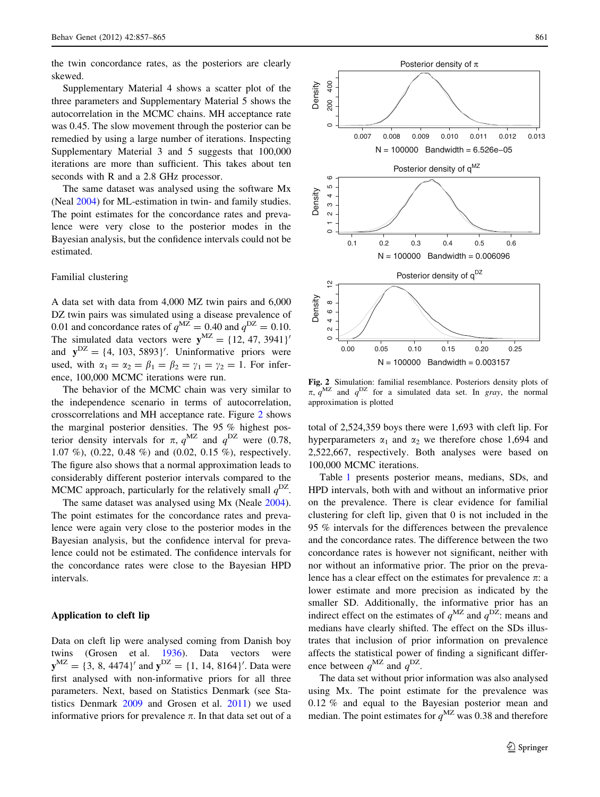<span id="page-4-0"></span>the twin concordance rates, as the posteriors are clearly skewed.

Supplementary Material 4 shows a scatter plot of the three parameters and Supplementary Material 5 shows the autocorrelation in the MCMC chains. MH acceptance rate was 0.45. The slow movement through the posterior can be remedied by using a large number of iterations. Inspecting Supplementary Material 3 and 5 suggests that 100,000 iterations are more than sufficient. This takes about ten seconds with R and a 2.8 GHz processor.

The same dataset was analysed using the software Mx (Neal [2004\)](#page-8-0) for ML-estimation in twin- and family studies. The point estimates for the concordance rates and prevalence were very close to the posterior modes in the Bayesian analysis, but the confidence intervals could not be estimated.

## Familial clustering

A data set with data from 4,000 MZ twin pairs and 6,000 DZ twin pairs was simulated using a disease prevalence of 0.01 and concordance rates of  $q^{MZ} = 0.40$  and  $q^{DZ} = 0.10$ . The simulated data vectors were  $y^{MZ} = \{12, 47, 3941\}$ and  $y^{DZ} = \{4, 103, 5893\}^T$ . Uninformative priors were used, with  $\alpha_1 = \alpha_2 = \beta_1 = \beta_2 = \gamma_1 = \gamma_2 = 1$ . For inference, 100,000 MCMC iterations were run.

The behavior of the MCMC chain was very similar to the independence scenario in terms of autocorrelation, crosscorrelations and MH acceptance rate. Figure 2 shows the marginal posterior densities. The 95 % highest posterior density intervals for  $\pi$ ,  $q^{MZ}$  and  $q^{DZ}$  were (0.78, 1.07 %), (0.22, 0.48 %) and (0.02, 0.15 %), respectively. The figure also shows that a normal approximation leads to considerably different posterior intervals compared to the MCMC approach, particularly for the relatively small  $q^{DZ}$ .

The same dataset was analysed using Mx (Neale [2004](#page-8-0)). The point estimates for the concordance rates and prevalence were again very close to the posterior modes in the Bayesian analysis, but the confidence interval for prevalence could not be estimated. The confidence intervals for the concordance rates were close to the Bayesian HPD intervals.

#### Application to cleft lip

Data on cleft lip were analysed coming from Danish boy twins (Grosen et al. [1936\)](#page-8-0). Data vectors were  $\mathbf{y}^{MZ} = \{3, 8, 4474\}^{\prime}$  and  $\mathbf{y}^{DZ} = \{1, 14, 8164\}^{\prime}$ . Data were first analysed with non-informative priors for all three parameters. Next, based on Statistics Denmark (see Statistics Denmark [2009](#page-8-0) and Grosen et al. [2011\)](#page-8-0) we used informative priors for prevalence  $\pi$ . In that data set out of a



Fig. 2 Simulation: familial resemblance. Posteriors density plots of  $\overline{p}$ ,  $\overline{q}$ <sup>MZ</sup> and  $\overline{q}$ <sup>DZ</sup> for a simulated data set. In *gray*, the normal approximation is plotted

total of 2,524,359 boys there were 1,693 with cleft lip. For hyperparameters  $\alpha_1$  and  $\alpha_2$  we therefore chose 1,694 and 2,522,667, respectively. Both analyses were based on 100,000 MCMC iterations.

Table [1](#page-5-0) presents posterior means, medians, SDs, and HPD intervals, both with and without an informative prior on the prevalence. There is clear evidence for familial clustering for cleft lip, given that 0 is not included in the 95 % intervals for the differences between the prevalence and the concordance rates. The difference between the two concordance rates is however not significant, neither with nor without an informative prior. The prior on the prevalence has a clear effect on the estimates for prevalence  $\pi$ : a lower estimate and more precision as indicated by the smaller SD. Additionally, the informative prior has an indirect effect on the estimates of  $q^{MZ}$  and  $q^{DZ}$ : means and medians have clearly shifted. The effect on the SDs illustrates that inclusion of prior information on prevalence affects the statistical power of finding a significant difference between  $q^{MZ}$  and  $q^{DZ}$ .

The data set without prior information was also analysed using Mx. The point estimate for the prevalence was 0.12 % and equal to the Bayesian posterior mean and median. The point estimates for  $q^{MZ}$  was 0.38 and therefore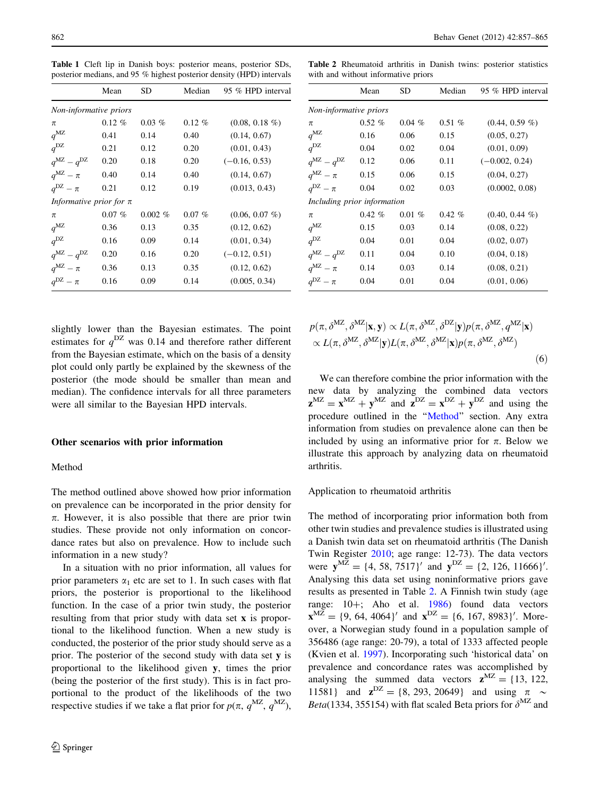<span id="page-5-0"></span>Table 1 Cleft lip in Danish boys: posterior means, posterior SDs, posterior medians, and 95 % highest posterior density (HPD) intervals

|                             | Mean      | SD      | Median   | 95 % HPD interval |
|-----------------------------|-----------|---------|----------|-------------------|
| Non-informative priors      |           |         |          |                   |
| $\pi$                       | $0.12\%$  | 0.03~%  | $0.12\%$ | $(0.08, 0.18\%)$  |
| $q^{\rm MZ}$                | 0.41      | 0.14    | 0.40     | (0.14, 0.67)      |
| $q^{DZ}$                    | 0.21      | 0.12    | 0.20     | (0.01, 0.43)      |
| $q^{MZ} - q^{DZ}$           | 0.20      | 0.18    | 0.20     | $(-0.16, 0.53)$   |
| $q^{\text{MZ}} - \pi$       | 0.40      | 0.14    | 0.40     | (0.14, 0.67)      |
| $a^{DZ} - \pi$              | 0.21      | 0.12    | 0.19     | (0.013, 0.43)     |
| Informative prior for $\pi$ |           |         |          |                   |
| $\pi$                       | $0.07 \%$ | 0.002~% | $0.07\%$ | $(0.06, 0.07\%)$  |
| $q^{MZ}$                    | 0.36      | 0.13    | 0.35     | (0.12, 0.62)      |
| $q^{DZ}$                    | 0.16      | 0.09    | 0.14     | (0.01, 0.34)      |
| $q^{MZ} - q^{DZ}$           | 0.20      | 0.16    | 0.20     | $(-0.12, 0.51)$   |
| $q^{\text{MZ}} - \pi$       | 0.36      | 0.13    | 0.35     | (0.12, 0.62)      |
| $q^{DZ} - \pi$              | 0.16      | 0.09    | 0.14     | (0.005, 0.34)     |

slightly lower than the Bayesian estimates. The point estimates for  $q^{DZ}$  was 0.14 and therefore rather different from the Bayesian estimate, which on the basis of a density plot could only partly be explained by the skewness of the posterior (the mode should be smaller than mean and median). The confidence intervals for all three parameters were all similar to the Bayesian HPD intervals.

#### Other scenarios with prior information

## Method

The method outlined above showed how prior information on prevalence can be incorporated in the prior density for  $\pi$ . However, it is also possible that there are prior twin studies. These provide not only information on concordance rates but also on prevalence. How to include such information in a new study?

In a situation with no prior information, all values for prior parameters  $\alpha_1$  etc are set to 1. In such cases with flat priors, the posterior is proportional to the likelihood function. In the case of a prior twin study, the posterior resulting from that prior study with data set x is proportional to the likelihood function. When a new study is conducted, the posterior of the prior study should serve as a prior. The posterior of the second study with data set y is proportional to the likelihood given y, times the prior (being the posterior of the first study). This is in fact proportional to the product of the likelihoods of the two respective studies if we take a flat prior for  $p(\pi, q^{MZ}, q^{MZ})$ ,

Table 2 Rheumatoid arthritis in Danish twins: posterior statistics with and without informative priors

|                             | Mean     | <b>SD</b> | Median   | 95 % HPD interval |
|-----------------------------|----------|-----------|----------|-------------------|
| Non-informative priors      |          |           |          |                   |
| π                           | $0.52\%$ | $0.04\%$  | $0.51\%$ | $(0.44, 0.59\%)$  |
| $q^{\rm MZ}$                | 0.16     | 0.06      | 0.15     | (0.05, 0.27)      |
| $q^{\rm DZ}$                | 0.04     | 0.02      | 0.04     | (0.01, 0.09)      |
| $q^{MZ} - q^{DZ}$           | 0.12     | 0.06      | 0.11     | $(-0.002, 0.24)$  |
| $q^{\text{MZ}} - \pi$       | 0.15     | 0.06      | 0.15     | (0.04, 0.27)      |
| $a^{DZ} - \pi$              | 0.04     | 0.02      | 0.03     | (0.0002, 0.08)    |
| Including prior information |          |           |          |                   |
| π                           | $0.42\%$ | 0.01%     | $0.42\%$ | $(0.40, 0.44\%)$  |
| $q^{MZ}$                    | 0.15     | 0.03      | 0.14     | (0.08, 0.22)      |
| $q^{DZ}$                    | 0.04     | 0.01      | 0.04     | (0.02, 0.07)      |
| $q^{MZ} - q^{DZ}$           | 0.11     | 0.04      | 0.10     | (0.04, 0.18)      |
| $q^{\rm MZ}-\pi$            | 0.14     | 0.03      | 0.14     | (0.08, 0.21)      |
| $a^{DZ} - \pi$              | 0.04     | 0.01      | 0.04     | (0.01, 0.06)      |

$$
p(\pi, \delta^{MZ}, \delta^{MZ} | \mathbf{x}, \mathbf{y}) \propto L(\pi, \delta^{MZ}, \delta^{DZ} | \mathbf{y}) p(\pi, \delta^{MZ}, q^{MZ} | \mathbf{x})
$$
  
 
$$
\propto L(\pi, \delta^{MZ}, \delta^{MZ} | \mathbf{y}) L(\pi, \delta^{MZ}, \delta^{MZ} | \mathbf{x}) p(\pi, \delta^{MZ}, \delta^{MZ})
$$
(6)

We can therefore combine the prior information with the new data by analyzing the combined data vectors  $z^{MZ} = x^{MZ} + y^{MZ}$  and  $z^{DZ} = x^{DZ} + y^{DZ}$  and using the procedure outlined in the ''[Method'](#page-1-0)' section. Any extra information from studies on prevalence alone can then be included by using an informative prior for  $\pi$ . Below we illustrate this approach by analyzing data on rheumatoid arthritis.

#### Application to rheumatoid arthritis

The method of incorporating prior information both from other twin studies and prevalence studies is illustrated using a Danish twin data set on rheumatoid arthritis (The Danish Twin Register [2010](#page-8-0); age range: 12-73). The data vectors were  $y^{\overline{MZ}} = \{4, 58, 7517\}$  and  $y^{\overline{DZ}} = \{2, 126, 11666\}$ . Analysing this data set using noninformative priors gave results as presented in Table 2. A Finnish twin study (age range:  $10+$ ; Aho et al.  $1986$ ) found data vectors  $\mathbf{x}^{MZ} = \{9, 64, 4064\}^{\prime}$  and  $\mathbf{x}^{DZ} = \{6, 167, 8983\}^{\prime}$ . Moreover, a Norwegian study found in a population sample of 356486 (age range: 20-79), a total of 1333 affected people (Kvien et al. [1997](#page-8-0)). Incorporating such 'historical data' on prevalence and concordance rates was accomplished by analysing the summed data vectors  $z^{MZ} = \{13, 122, \dots \}$ 11581} and  $z^{DZ} = \{8, 293, 20649\}$  and using  $\pi \sim$ *Beta*(1334, 355154) with flat scaled Beta priors for  $\delta^{MZ}$  and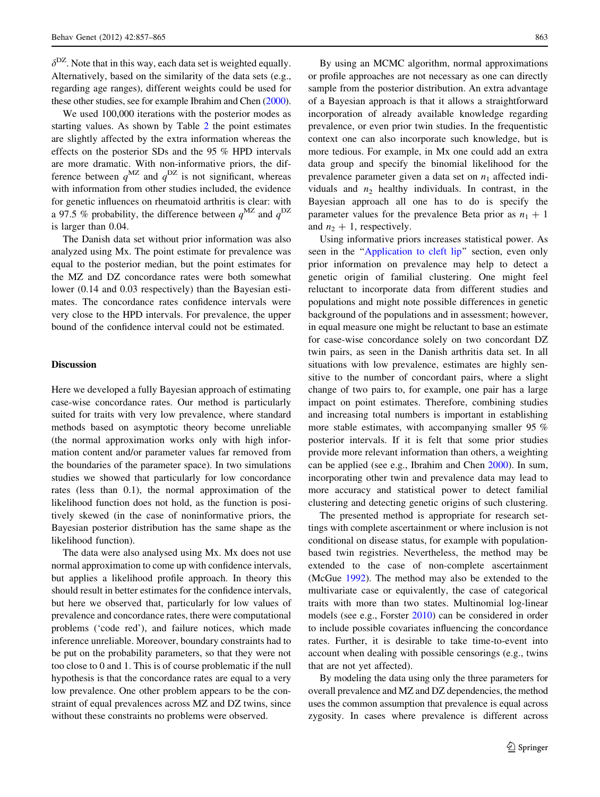$\delta^{DZ}$ . Note that in this way, each data set is weighted equally. Alternatively, based on the similarity of the data sets (e.g., regarding age ranges), different weights could be used for these other studies, see for example Ibrahim and Chen [\(2000](#page-8-0)).

We used 100,000 iterations with the posterior modes as starting values. As shown by Table [2](#page-5-0) the point estimates are slightly affected by the extra information whereas the effects on the posterior SDs and the 95 % HPD intervals are more dramatic. With non-informative priors, the difference between  $q^{MZ}$  and  $q^{DZ}$  is not significant, whereas with information from other studies included, the evidence for genetic influences on rheumatoid arthritis is clear: with a 97.5 % probability, the difference between  $q^{MZ}$  and  $q^{DZ}$ is larger than 0.04.

The Danish data set without prior information was also analyzed using Mx. The point estimate for prevalence was equal to the posterior median, but the point estimates for the MZ and DZ concordance rates were both somewhat lower (0.14 and 0.03 respectively) than the Bayesian estimates. The concordance rates confidence intervals were very close to the HPD intervals. For prevalence, the upper bound of the confidence interval could not be estimated.

## **Discussion**

Here we developed a fully Bayesian approach of estimating case-wise concordance rates. Our method is particularly suited for traits with very low prevalence, where standard methods based on asymptotic theory become unreliable (the normal approximation works only with high information content and/or parameter values far removed from the boundaries of the parameter space). In two simulations studies we showed that particularly for low concordance rates (less than 0.1), the normal approximation of the likelihood function does not hold, as the function is positively skewed (in the case of noninformative priors, the Bayesian posterior distribution has the same shape as the likelihood function).

The data were also analysed using Mx. Mx does not use normal approximation to come up with confidence intervals, but applies a likelihood profile approach. In theory this should result in better estimates for the confidence intervals, but here we observed that, particularly for low values of prevalence and concordance rates, there were computational problems ('code red'), and failure notices, which made inference unreliable. Moreover, boundary constraints had to be put on the probability parameters, so that they were not too close to 0 and 1. This is of course problematic if the null hypothesis is that the concordance rates are equal to a very low prevalence. One other problem appears to be the constraint of equal prevalences across MZ and DZ twins, since without these constraints no problems were observed.

By using an MCMC algorithm, normal approximations or profile approaches are not necessary as one can directly sample from the posterior distribution. An extra advantage of a Bayesian approach is that it allows a straightforward incorporation of already available knowledge regarding prevalence, or even prior twin studies. In the frequentistic context one can also incorporate such knowledge, but is more tedious. For example, in Mx one could add an extra data group and specify the binomial likelihood for the prevalence parameter given a data set on  $n_1$  affected individuals and  $n_2$  healthy individuals. In contrast, in the Bayesian approach all one has to do is specify the parameter values for the prevalence Beta prior as  $n_1 + 1$ and  $n_2 + 1$ , respectively.

Using informative priors increases statistical power. As seen in the "Application to cleft lip" section, even only prior information on prevalence may help to detect a genetic origin of familial clustering. One might feel reluctant to incorporate data from different studies and populations and might note possible differences in genetic background of the populations and in assessment; however, in equal measure one might be reluctant to base an estimate for case-wise concordance solely on two concordant DZ twin pairs, as seen in the Danish arthritis data set. In all situations with low prevalence, estimates are highly sensitive to the number of concordant pairs, where a slight change of two pairs to, for example, one pair has a large impact on point estimates. Therefore, combining studies and increasing total numbers is important in establishing more stable estimates, with accompanying smaller 95 % posterior intervals. If it is felt that some prior studies provide more relevant information than others, a weighting can be applied (see e.g., Ibrahim and Chen [2000\)](#page-8-0). In sum, incorporating other twin and prevalence data may lead to more accuracy and statistical power to detect familial clustering and detecting genetic origins of such clustering.

The presented method is appropriate for research settings with complete ascertainment or where inclusion is not conditional on disease status, for example with populationbased twin registries. Nevertheless, the method may be extended to the case of non-complete ascertainment (McGue [1992](#page-8-0)). The method may also be extended to the multivariate case or equivalently, the case of categorical traits with more than two states. Multinomial log-linear models (see e.g., Forster [2010](#page-8-0)) can be considered in order to include possible covariates influencing the concordance rates. Further, it is desirable to take time-to-event into account when dealing with possible censorings (e.g., twins that are not yet affected).

By modeling the data using only the three parameters for overall prevalence and MZ and DZ dependencies, the method uses the common assumption that prevalence is equal across zygosity. In cases where prevalence is different across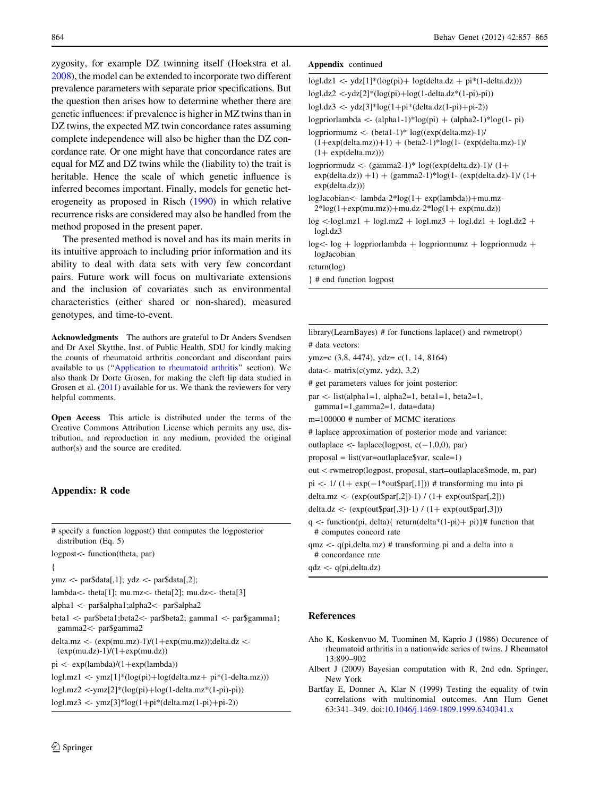<span id="page-7-0"></span>zygosity, for example DZ twinning itself (Hoekstra et al. [2008\)](#page-8-0), the model can be extended to incorporate two different prevalence parameters with separate prior specifications. But the question then arises how to determine whether there are genetic influences: if prevalence is higher in MZ twins than in DZ twins, the expected MZ twin concordance rates assuming complete independence will also be higher than the DZ concordance rate. Or one might have that concordance rates are equal for MZ and DZ twins while the (liability to) the trait is heritable. Hence the scale of which genetic influence is inferred becomes important. Finally, models for genetic heterogeneity as proposed in Risch ([1990](#page-8-0)) in which relative recurrence risks are considered may also be handled from the method proposed in the present paper.

The presented method is novel and has its main merits in its intuitive approach to including prior information and its ability to deal with data sets with very few concordant pairs. Future work will focus on multivariate extensions and the inclusion of covariates such as environmental characteristics (either shared or non-shared), measured genotypes, and time-to-event.

Acknowledgments The authors are grateful to Dr Anders Svendsen and Dr Axel Skytthe, Inst. of Public Health, SDU for kindly making the counts of rheumatoid arthritis concordant and discordant pairs available to us (''[Application to rheumatoid arthritis'](#page-5-0)' section). We also thank Dr Dorte Grosen, for making the cleft lip data studied in Grosen et al. ([2011\)](#page-8-0) available for us. We thank the reviewers for very helpful comments.

Open Access This article is distributed under the terms of the Creative Commons Attribution License which permits any use, distribution, and reproduction in any medium, provided the original author(s) and the source are credited.

#### Appendix: R code

| # specify a function logpost() that computes the logposterior<br>distribution $(Eq. 5)$  |
|------------------------------------------------------------------------------------------|
| logpost<- function(theta, par)                                                           |
| Ł                                                                                        |
|                                                                                          |
| $lambda < -$ theta[1]; mu.mz $< -$ theta[2]; mu.dz $< -$ theta[3]                        |
| alpha1 <- par\$alpha1;alpha2<- par\$alpha2                                               |
| beta1 <- par\$beta1;beta2<- par\$beta2; gamma1 <- par\$gamma1;<br>$gamma2$ - par\$gamma2 |
| delta.mz <- (exp(mu.mz)-1)/(1+exp(mu.mz));delta.dz <-<br>$(exp(mu.dz)-1)/(1+exp(mu.dz))$ |
| $pi < - \exp(\lambda)/(\lambda + \exp(\lambda))$                                         |
|                                                                                          |

 $log1 mz1 < supp(1)*(log(pi) + log(delta.mz + pi*(1-delta.mz)))$ 

 $log1 mz2 < -y mz[2]^*(log(pi)+log(1-delta.mz^*(1-pi)-pi))$ 

 $log1 mz3 < supp$  $log(1+pi*(delta.mz(1-pi)+pi-2))$ 

## Appendix continued

| $log1. dz1 < -y dz[1]^*(log(pi) + log(delta.dz + pi*(1-delta.dz)))$    |
|------------------------------------------------------------------------|
| $logl.dz2 < -ydz[2]*(log(pi) + log(1-delta.dz*(1-pi)-pi))$             |
| $log1 \, dz3 < \text{y} \, dz[3]^*log(1+pi^*(delta \, dz(1-pi)+pi-2))$ |

logpriorlambda  $\langle$ - (alpha1-1)\*log(pi) + (alpha2-1)\*log(1- pi)

logpriormumz  $\langle$ - (beta1-1)\* log((exp(delta.mz)-1)/

 $(1+exp(delta.mz))+1) + (beta2-1)*log(1-(exp(delta.mz)-1)/$  $(1+ \exp(\text{delta.mz})))$ 

logpriormudz <- (gamma2-1)\*  $log((exp(delta.dz)-1)/(1+$  $exp(detta.dz)) + 1) + (gamma2-1)*log(1-(exp(detta.dz)-1)/(1+$ exp(delta.dz)))

logJacobian<- lambda-2\*log(1+ exp(lambda))+mu.mz- $2*log(1+exp(mu.mz))+mu.dz-2*log(1+exp(mu.dz))$ 

 $log < log1 mz1 + log1 mz2 + log1 mz3 + log1 dz1 + log1 dz2 +$ logl.dz3

 $log<\frac{1}{2}$  log + logpriorlambda + logpriormumz + logpriormudz + logJacobian

return(log)

- } # end function logpost
- library(LearnBayes) # for functions laplace() and rwmetrop() # data vectors:
- ymz=c (3,8, 4474), ydz= c(1, 14, 8164)
- $data < -$  matrix(c(ymz, ydz), 3,2)
- # get parameters values for joint posterior:

par $\langle$ - list(alpha1=1, alpha2=1, beta1=1, beta2=1, gamma1=1,gamma2=1, data=data)

m=100000 # number of MCMC iterations

# laplace approximation of posterior mode and variance:

outlaplace  $\langle$ - laplace(logpost, c(-1,0,0), par)

proposal = list(var=outlaplace\$var, scale=1)

out\-rwmetrop(logpost, proposal, start=outlaplace\$mode, m, par)

pi <-  $1/(1 + \exp(-1*\text{out}\$par[,1]))$  # transforming mu into pi

- delta.mz <-  $\left(\exp(\text{out}\$par[,2])-1\right) / (1+\exp(\text{out}\$par[,2]))$
- delta.dz <-  $(exp(out\$par[,3])-1) / (1+ exp(out\$par[,3]))$

q <- function(pi, delta){ return(delta\*(1-pi)+ pi)}# function that # computes concord rate

qmz\- q(pi,delta.mz) # transforming pi and a delta into a # concordance rate

 $qdz \leftarrow q(pi, delta.dz)$ 

## References

- Aho K, Koskenvuo M, Tuominen M, Kaprio J (1986) Occurence of rheumatoid arthritis in a nationwide series of twins. J Rheumatol 13:899–902
- Albert J (2009) Bayesian computation with R, 2nd edn. Springer, New York
- Bartfay E, Donner A, Klar N (1999) Testing the equality of twin correlations with multinomial outcomes. Ann Hum Genet 63:341–349. doi:[10.1046/j.1469-1809.1999.6340341.x](http://dx.doi.org/10.1046/j.1469-1809.1999.6340341.x)